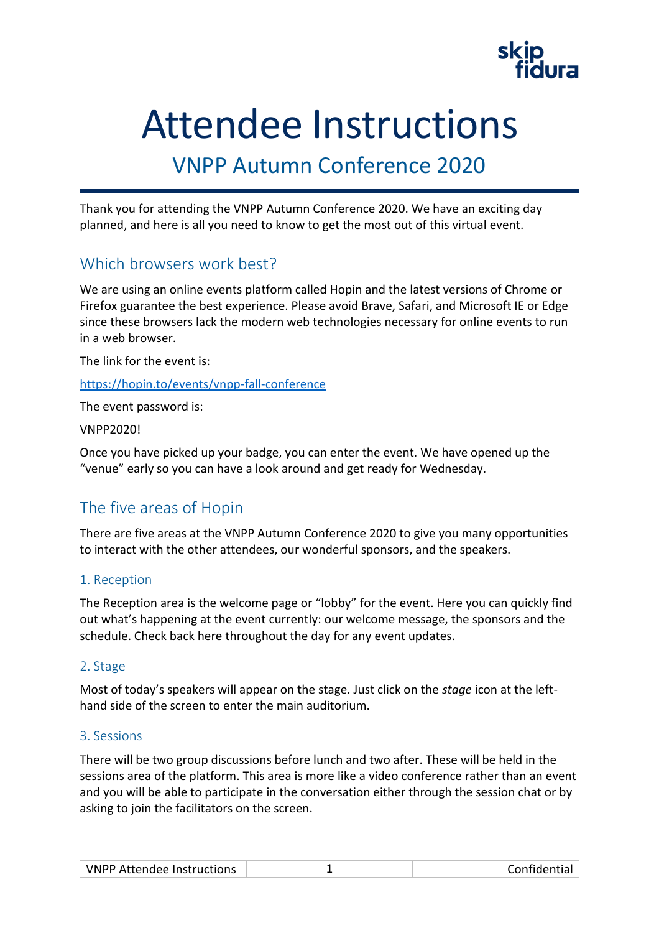# Attendee Instructions

## VNPP Autumn Conference 2020

Thank you for attending the VNPP Autumn Conference 2020. We have an exciting day planned, and here is all you need to know to get the most out of this virtual event.

#### Which browsers work best?

We are using an online events platform called Hopin and the latest versions of Chrome or Firefox guarantee the best experience. Please avoid Brave, Safari, and Microsoft IE or Edge since these browsers lack the modern web technologies necessary for online events to run in a web browser.

The link for the event is:

#### <https://hopin.to/events/vnpp-fall-conference>

The event password is:

#### VNPP2020!

Once you have picked up your badge, you can enter the event. We have opened up the "venue" early so you can have a look around and get ready for Wednesday.

### The five areas of Hopin

There are five areas at the VNPP Autumn Conference 2020 to give you many opportunities to interact with the other attendees, our wonderful sponsors, and the speakers.

#### 1. Reception

The Reception area is the welcome page or "lobby" for the event. Here you can quickly find out what's happening at the event currently: our welcome message, the sponsors and the schedule. Check back here throughout the day for any event updates.

#### 2. Stage

Most of today's speakers will appear on the stage. Just click on the *stage* icon at the lefthand side of the screen to enter the main auditorium.

#### 3. Sessions

There will be two group discussions before lunch and two after. These will be held in the sessions area of the platform. This area is more like a video conference rather than an event and you will be able to participate in the conversation either through the session chat or by asking to join the facilitators on the screen.